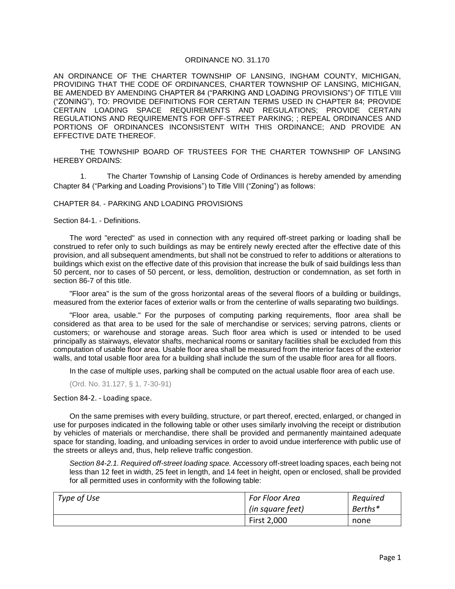## ORDINANCE NO. 31.170

AN ORDINANCE OF THE CHARTER TOWNSHIP OF LANSING, INGHAM COUNTY, MICHIGAN, PROVIDING THAT THE CODE OF ORDINANCES, CHARTER TOWNSHIP OF LANSING, MICHIGAN, BE AMENDED BY AMENDING CHAPTER 84 ("PARKING AND LOADING PROVISIONS") OF TITLE VIII ("ZONING"), TO: PROVIDE DEFINITIONS FOR CERTAIN TERMS USED IN CHAPTER 84; PROVIDE CERTAIN LOADING SPACE REQUIREMENTS AND REGULATIONS; PROVIDE CERTAIN REGULATIONS AND REQUIREMENTS FOR OFF-STREET PARKING; ; REPEAL ORDINANCES AND PORTIONS OF ORDINANCES INCONSISTENT WITH THIS ORDINANCE; AND PROVIDE AN EFFECTIVE DATE THEREOF.

THE TOWNSHIP BOARD OF TRUSTEES FOR THE CHARTER TOWNSHIP OF LANSING HEREBY ORDAINS:

1. The Charter Township of Lansing Code of Ordinances is hereby amended by amending Chapter 84 ("Parking and Loading Provisions") to Title VIII ("Zoning") as follows:

## CHAPTER 84. - PARKING AND LOADING PROVISIONS

Section 84-1. - Definitions.

The word "erected" as used in connection with any required off-street parking or loading shall be construed to refer only to such buildings as may be entirely newly erected after the effective date of this provision, and all subsequent amendments, but shall not be construed to refer to additions or alterations to buildings which exist on the effective date of this provision that increase the bulk of said buildings less than 50 percent, nor to cases of 50 percent, or less, demolition, destruction or condemnation, as set forth in section 86-7 of this title.

"Floor area" is the sum of the gross horizontal areas of the several floors of a building or buildings, measured from the exterior faces of exterior walls or from the centerline of walls separating two buildings.

"Floor area, usable." For the purposes of computing parking requirements, floor area shall be considered as that area to be used for the sale of merchandise or services; serving patrons, clients or customers; or warehouse and storage areas. Such floor area which is used or intended to be used principally as stairways, elevator shafts, mechanical rooms or sanitary facilities shall be excluded from this computation of usable floor area. Usable floor area shall be measured from the interior faces of the exterior walls, and total usable floor area for a building shall include the sum of the usable floor area for all floors.

In the case of multiple uses, parking shall be computed on the actual usable floor area of each use.

(Ord. No. 31.127, § 1, 7-30-91)

Section 84-2. - Loading space.

On the same premises with every building, structure, or part thereof, erected, enlarged, or changed in use for purposes indicated in the following table or other uses similarly involving the receipt or distribution by vehicles of materials or merchandise, there shall be provided and permanently maintained adequate space for standing, loading, and unloading services in order to avoid undue interference with public use of the streets or alleys and, thus, help relieve traffic congestion.

*Section 84-2.1. Required off-street loading space.* Accessory off-street loading spaces, each being not less than 12 feet in width, 25 feet in length, and 14 feet in height, open or enclosed, shall be provided for all permitted uses in conformity with the following table:

| Type of Use | <b>For Floor Area</b> | Required |
|-------------|-----------------------|----------|
|             | (in square feet)      | Berths*  |
|             | First 2,000           | none     |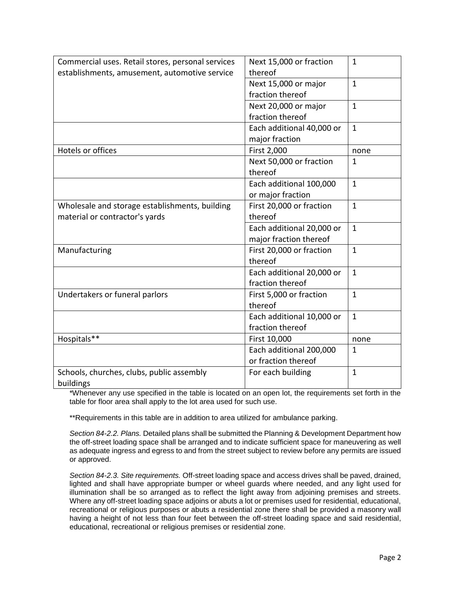| Commercial uses. Retail stores, personal services | Next 15,000 or fraction   | $\mathbf{1}$ |
|---------------------------------------------------|---------------------------|--------------|
| establishments, amusement, automotive service     | thereof                   |              |
|                                                   | Next 15,000 or major      | $\mathbf{1}$ |
|                                                   | fraction thereof          |              |
|                                                   | Next 20,000 or major      | $\mathbf{1}$ |
|                                                   | fraction thereof          |              |
|                                                   | Each additional 40,000 or | $\mathbf{1}$ |
|                                                   | major fraction            |              |
| Hotels or offices                                 | First 2,000               | none         |
|                                                   | Next 50,000 or fraction   | $\mathbf{1}$ |
|                                                   | thereof                   |              |
|                                                   | Each additional 100,000   | $\mathbf{1}$ |
|                                                   | or major fraction         |              |
| Wholesale and storage establishments, building    | First 20,000 or fraction  | $\mathbf{1}$ |
| material or contractor's yards                    | thereof                   |              |
|                                                   | Each additional 20,000 or | $\mathbf{1}$ |
|                                                   | major fraction thereof    |              |
| Manufacturing                                     | First 20,000 or fraction  | $\mathbf{1}$ |
|                                                   | thereof                   |              |
|                                                   | Each additional 20,000 or | $\mathbf{1}$ |
|                                                   | fraction thereof          |              |
| Undertakers or funeral parlors                    | First 5,000 or fraction   | $\mathbf{1}$ |
|                                                   | thereof                   |              |
|                                                   | Each additional 10,000 or | $\mathbf{1}$ |
|                                                   | fraction thereof          |              |
| Hospitals**                                       | First 10,000              | none         |
|                                                   | Each additional 200,000   | $\mathbf{1}$ |
|                                                   | or fraction thereof       |              |
| Schools, churches, clubs, public assembly         | For each building         | $\mathbf{1}$ |
| buildings                                         |                           |              |

\*Whenever any use specified in the table is located on an open lot, the requirements set forth in the table for floor area shall apply to the lot area used for such use.

\*\*Requirements in this table are in addition to area utilized for ambulance parking.

*Section 84-2.2. Plans.* Detailed plans shall be submitted the Planning & Development Department how the off-street loading space shall be arranged and to indicate sufficient space for maneuvering as well as adequate ingress and egress to and from the street subject to review before any permits are issued or approved.

*Section 84-2.3. Site requirements.* Off-street loading space and access drives shall be paved, drained, lighted and shall have appropriate bumper or wheel guards where needed, and any light used for illumination shall be so arranged as to reflect the light away from adjoining premises and streets. Where any off-street loading space adjoins or abuts a lot or premises used for residential, educational, recreational or religious purposes or abuts a residential zone there shall be provided a masonry wall having a height of not less than four feet between the off-street loading space and said residential, educational, recreational or religious premises or residential zone.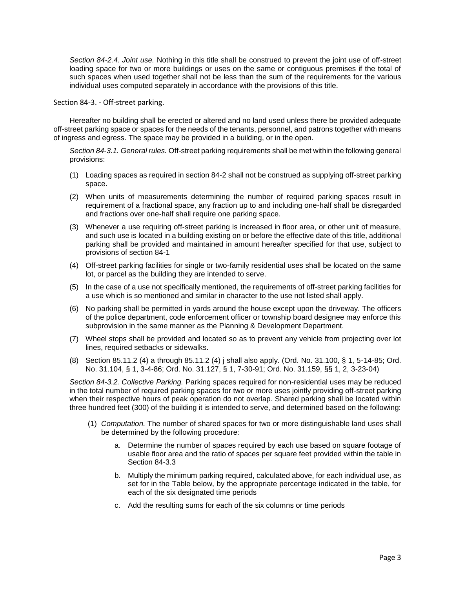*Section 84-2.4. Joint use.* Nothing in this title shall be construed to prevent the joint use of off-street loading space for two or more buildings or uses on the same or contiguous premises if the total of such spaces when used together shall not be less than the sum of the requirements for the various individual uses computed separately in accordance with the provisions of this title.

Section 84-3. - Off-street parking.

Hereafter no building shall be erected or altered and no land used unless there be provided adequate off-street parking space or spaces for the needs of the tenants, personnel, and patrons together with means of ingress and egress. The space may be provided in a building, or in the open.

*Section 84-3.1. General rules.* Off-street parking requirements shall be met within the following general provisions:

- (1) Loading spaces as required in section 84-2 shall not be construed as supplying off-street parking space.
- (2) When units of measurements determining the number of required parking spaces result in requirement of a fractional space, any fraction up to and including one-half shall be disregarded and fractions over one-half shall require one parking space.
- (3) Whenever a use requiring off-street parking is increased in floor area, or other unit of measure, and such use is located in a building existing on or before the effective date of this title, additional parking shall be provided and maintained in amount hereafter specified for that use, subject to provisions of section 84-1
- (4) Off-street parking facilities for single or two-family residential uses shall be located on the same lot, or parcel as the building they are intended to serve.
- (5) In the case of a use not specifically mentioned, the requirements of off-street parking facilities for a use which is so mentioned and similar in character to the use not listed shall apply.
- (6) No parking shall be permitted in yards around the house except upon the driveway. The officers of the police department, code enforcement officer or township board designee may enforce this subprovision in the same manner as the Planning & Development Department.
- (7) Wheel stops shall be provided and located so as to prevent any vehicle from projecting over lot lines, required setbacks or sidewalks.
- (8) Section 85.11.2 (4) a through 85.11.2 (4) j shall also apply. (Ord. No. 31.100, § 1, 5-14-85; Ord. No. 31.104, § 1, 3-4-86; Ord. No. 31.127, § 1, 7-30-91; Ord. No. 31.159, §§ 1, 2, 3-23-04)

*Section 84-3.2. Collective Parking.* Parking spaces required for non-residential uses may be reduced in the total number of required parking spaces for two or more uses jointly providing off-street parking when their respective hours of peak operation do not overlap. Shared parking shall be located within three hundred feet (300) of the building it is intended to serve, and determined based on the following:

- (1) *Computation.* The number of shared spaces for two or more distinguishable land uses shall be determined by the following procedure:
	- a. Determine the number of spaces required by each use based on square footage of usable floor area and the ratio of spaces per square feet provided within the table in Section 84-3.3
	- b. Multiply the minimum parking required, calculated above, for each individual use, as set for in the Table below, by the appropriate percentage indicated in the table, for each of the six designated time periods
	- c. Add the resulting sums for each of the six columns or time periods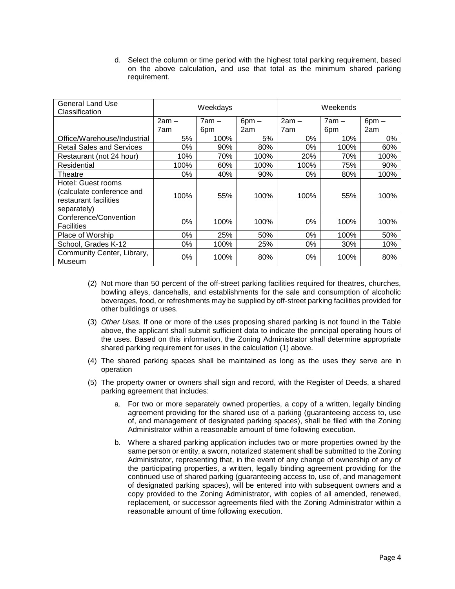d. Select the column or time period with the highest total parking requirement, based on the above calculation, and use that total as the minimum shared parking requirement.

| General Land Use<br>Classification                                                      | Weekdays |         | Weekends   |         |       |            |
|-----------------------------------------------------------------------------------------|----------|---------|------------|---------|-------|------------|
|                                                                                         | $2am -$  | $7am -$ | $6$ pm $-$ | $2am -$ | 7am – | $6$ pm $-$ |
|                                                                                         | 7am      | 6pm     | 2am        | 7am     | 6pm   | 2am        |
| Office/Warehouse/Industrial                                                             | 5%       | 100%    | 5%         | $0\%$   | 10%   | 0%         |
| <b>Retail Sales and Services</b>                                                        | 0%       | 90%     | 80%        | 0%      | 100%  | 60%        |
| Restaurant (not 24 hour)                                                                | 10%      | 70%     | 100%       | 20%     | 70%   | 100%       |
| Residential                                                                             | 100%     | 60%     | 100%       | 100%    | 75%   | 90%        |
| Theatre                                                                                 | 0%       | 40%     | 90%        | 0%      | 80%   | 100%       |
| Hotel: Guest rooms<br>(calculate conference and<br>restaurant facilities<br>separately) | 100%     | 55%     | 100%       | 100%    | 55%   | 100%       |
| Conference/Convention<br><b>Facilities</b>                                              | 0%       | 100%    | 100%       | 0%      | 100%  | 100%       |
| Place of Worship                                                                        | 0%       | 25%     | 50%        | 0%      | 100%  | 50%        |
| School, Grades K-12                                                                     | 0%       | 100%    | 25%        | 0%      | 30%   | 10%        |
| Community Center, Library,<br>Museum                                                    | 0%       | 100%    | 80%        | 0%      | 100%  | 80%        |

- (2) Not more than 50 percent of the off-street parking facilities required for theatres, churches, bowling alleys, dancehalls, and establishments for the sale and consumption of alcoholic beverages, food, or refreshments may be supplied by off-street parking facilities provided for other buildings or uses.
- (3) *Other Uses.* If one or more of the uses proposing shared parking is not found in the Table above, the applicant shall submit sufficient data to indicate the principal operating hours of the uses. Based on this information, the Zoning Administrator shall determine appropriate shared parking requirement for uses in the calculation (1) above.
- (4) The shared parking spaces shall be maintained as long as the uses they serve are in operation
- (5) The property owner or owners shall sign and record, with the Register of Deeds, a shared parking agreement that includes:
	- a. For two or more separately owned properties, a copy of a written, legally binding agreement providing for the shared use of a parking (guaranteeing access to, use of, and management of designated parking spaces), shall be filed with the Zoning Administrator within a reasonable amount of time following execution.
	- b. Where a shared parking application includes two or more properties owned by the same person or entity, a sworn, notarized statement shall be submitted to the Zoning Administrator, representing that, in the event of any change of ownership of any of the participating properties, a written, legally binding agreement providing for the continued use of shared parking (guaranteeing access to, use of, and management of designated parking spaces), will be entered into with subsequent owners and a copy provided to the Zoning Administrator, with copies of all amended, renewed, replacement, or successor agreements filed with the Zoning Administrator within a reasonable amount of time following execution.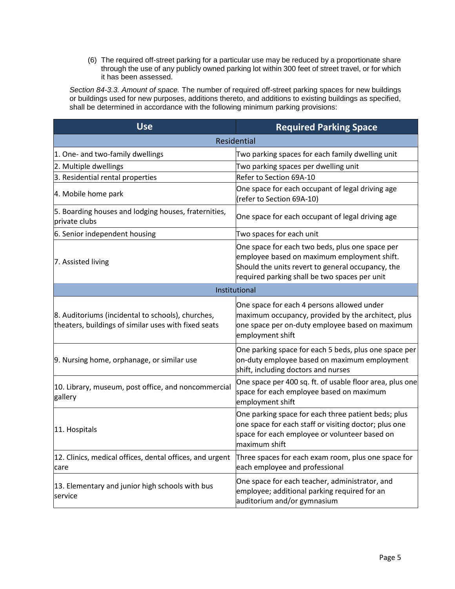(6) The required off-street parking for a particular use may be reduced by a proportionate share through the use of any publicly owned parking lot within 300 feet of street travel, or for which it has been assessed.

*Section 84-3.3. Amount of space.* The number of required off-street parking spaces for new buildings or buildings used for new purposes, additions thereto, and additions to existing buildings as specified, shall be determined in accordance with the following minimum parking provisions:

| <b>Use</b>                                                                                                | <b>Required Parking Space</b>                                                                                                                                                                        |  |
|-----------------------------------------------------------------------------------------------------------|------------------------------------------------------------------------------------------------------------------------------------------------------------------------------------------------------|--|
| Residential                                                                                               |                                                                                                                                                                                                      |  |
| 1. One- and two-family dwellings                                                                          | Two parking spaces for each family dwelling unit                                                                                                                                                     |  |
| 2. Multiple dwellings                                                                                     | Two parking spaces per dwelling unit                                                                                                                                                                 |  |
| 3. Residential rental properties                                                                          | Refer to Section 69A-10                                                                                                                                                                              |  |
| 4. Mobile home park                                                                                       | One space for each occupant of legal driving age<br>(refer to Section 69A-10)                                                                                                                        |  |
| 5. Boarding houses and lodging houses, fraternities,<br>lprivate clubs                                    | One space for each occupant of legal driving age                                                                                                                                                     |  |
| 6. Senior independent housing                                                                             | Two spaces for each unit                                                                                                                                                                             |  |
| 7. Assisted living                                                                                        | One space for each two beds, plus one space per<br>employee based on maximum employment shift.<br>Should the units revert to general occupancy, the<br>required parking shall be two spaces per unit |  |
|                                                                                                           | Institutional                                                                                                                                                                                        |  |
| 8. Auditoriums (incidental to schools), churches,<br>theaters, buildings of similar uses with fixed seats | One space for each 4 persons allowed under<br>maximum occupancy, provided by the architect, plus<br>one space per on-duty employee based on maximum<br>employment shift                              |  |
| 9. Nursing home, orphanage, or similar use                                                                | One parking space for each 5 beds, plus one space per<br>on-duty employee based on maximum employment<br>shift, including doctors and nurses                                                         |  |
| 10. Library, museum, post office, and noncommercial<br>gallery                                            | One space per 400 sq. ft. of usable floor area, plus one<br>space for each employee based on maximum<br>employment shift                                                                             |  |
| 11. Hospitals                                                                                             | One parking space for each three patient beds; plus<br>one space for each staff or visiting doctor; plus one<br>space for each employee or volunteer based on<br>maximum shift                       |  |
| 12. Clinics, medical offices, dental offices, and urgent<br>care                                          | Three spaces for each exam room, plus one space for<br>each employee and professional                                                                                                                |  |
| 13. Elementary and junior high schools with bus<br>service                                                | One space for each teacher, administrator, and<br>employee; additional parking required for an<br>auditorium and/or gymnasium                                                                        |  |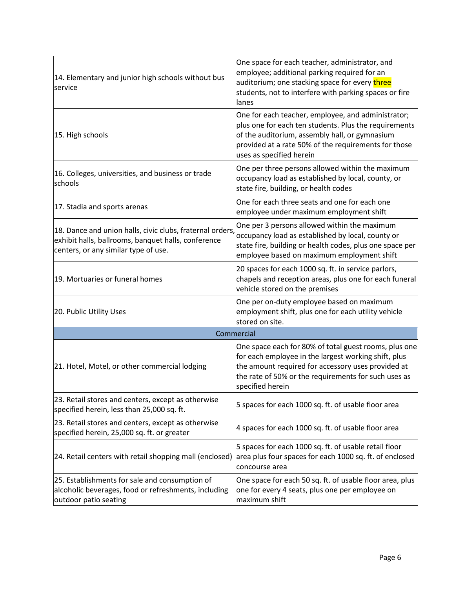| 14. Elementary and junior high schools without bus<br>service                                                                                            | One space for each teacher, administrator, and<br>employee; additional parking required for an<br>auditorium; one stacking space for every three<br>students, not to interfere with parking spaces or fire<br>lanes                               |  |  |
|----------------------------------------------------------------------------------------------------------------------------------------------------------|---------------------------------------------------------------------------------------------------------------------------------------------------------------------------------------------------------------------------------------------------|--|--|
| 15. High schools                                                                                                                                         | One for each teacher, employee, and administrator;<br>plus one for each ten students. Plus the requirements<br>of the auditorium, assembly hall, or gymnasium<br>provided at a rate 50% of the requirements for those<br>uses as specified herein |  |  |
| 16. Colleges, universities, and business or trade<br>schools                                                                                             | One per three persons allowed within the maximum<br>occupancy load as established by local, county, or<br>state fire, building, or health codes                                                                                                   |  |  |
| 17. Stadia and sports arenas                                                                                                                             | One for each three seats and one for each one<br>employee under maximum employment shift                                                                                                                                                          |  |  |
| 18. Dance and union halls, civic clubs, fraternal orders,<br>exhibit halls, ballrooms, banquet halls, conference<br>centers, or any similar type of use. | One per 3 persons allowed within the maximum<br>occupancy load as established by local, county or<br>state fire, building or health codes, plus one space per<br>employee based on maximum employment shift                                       |  |  |
| 19. Mortuaries or funeral homes                                                                                                                          | 20 spaces for each 1000 sq. ft. in service parlors,<br>chapels and reception areas, plus one for each funeral<br>vehicle stored on the premises                                                                                                   |  |  |
| 20. Public Utility Uses                                                                                                                                  | One per on-duty employee based on maximum<br>employment shift, plus one for each utility vehicle<br>stored on site.                                                                                                                               |  |  |
| Commercial                                                                                                                                               |                                                                                                                                                                                                                                                   |  |  |
| 21. Hotel, Motel, or other commercial lodging                                                                                                            | One space each for 80% of total guest rooms, plus one<br>for each employee in the largest working shift, plus<br>the amount required for accessory uses provided at<br>the rate of 50% or the requirements for such uses as<br>specified herein   |  |  |
| 23. Retail stores and centers, except as otherwise<br>specified herein, less than 25,000 sq. ft.                                                         | 5 spaces for each 1000 sq. ft. of usable floor area                                                                                                                                                                                               |  |  |
| 23. Retail stores and centers, except as otherwise<br>specified herein, 25,000 sq. ft. or greater                                                        | 4 spaces for each 1000 sq. ft. of usable floor area                                                                                                                                                                                               |  |  |
| 24. Retail centers with retail shopping mall (enclosed)                                                                                                  | 5 spaces for each 1000 sq. ft. of usable retail floor<br>area plus four spaces for each 1000 sq. ft. of enclosed<br>concourse area                                                                                                                |  |  |
| 25. Establishments for sale and consumption of<br>alcoholic beverages, food or refreshments, including<br>outdoor patio seating                          | One space for each 50 sq. ft. of usable floor area, plus<br>one for every 4 seats, plus one per employee on<br>maximum shift                                                                                                                      |  |  |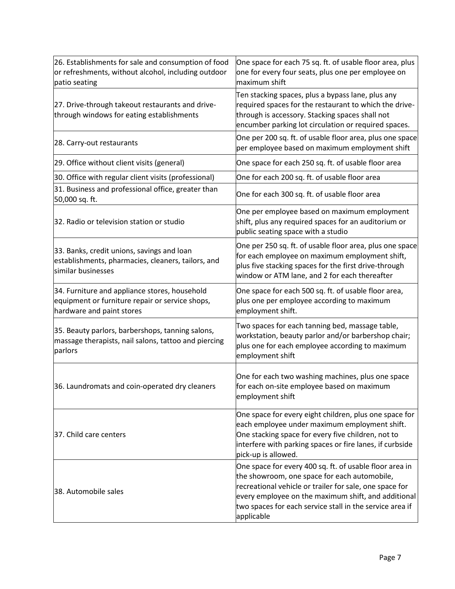| 26. Establishments for sale and consumption of food<br>or refreshments, without alcohol, including outdoor<br>patio seating   | One space for each 75 sq. ft. of usable floor area, plus<br>one for every four seats, plus one per employee on<br>maximum shift                                                                                                                                                                     |
|-------------------------------------------------------------------------------------------------------------------------------|-----------------------------------------------------------------------------------------------------------------------------------------------------------------------------------------------------------------------------------------------------------------------------------------------------|
| 27. Drive-through takeout restaurants and drive-<br>through windows for eating establishments                                 | Ten stacking spaces, plus a bypass lane, plus any<br>required spaces for the restaurant to which the drive-<br>through is accessory. Stacking spaces shall not<br>encumber parking lot circulation or required spaces.                                                                              |
| 28. Carry-out restaurants                                                                                                     | One per 200 sq. ft. of usable floor area, plus one space<br>per employee based on maximum employment shift                                                                                                                                                                                          |
| 29. Office without client visits (general)                                                                                    | One space for each 250 sq. ft. of usable floor area                                                                                                                                                                                                                                                 |
| 30. Office with regular client visits (professional)                                                                          | One for each 200 sq. ft. of usable floor area                                                                                                                                                                                                                                                       |
| 31. Business and professional office, greater than<br>50,000 sq. ft.                                                          | One for each 300 sq. ft. of usable floor area                                                                                                                                                                                                                                                       |
| 32. Radio or television station or studio                                                                                     | One per employee based on maximum employment<br>shift, plus any required spaces for an auditorium or<br>public seating space with a studio                                                                                                                                                          |
| 33. Banks, credit unions, savings and loan<br>establishments, pharmacies, cleaners, tailors, and<br>similar businesses        | One per 250 sq. ft. of usable floor area, plus one space<br>for each employee on maximum employment shift,<br>plus five stacking spaces for the first drive-through<br>window or ATM lane, and 2 for each thereafter                                                                                |
| 34. Furniture and appliance stores, household<br>equipment or furniture repair or service shops,<br>hardware and paint stores | One space for each 500 sq. ft. of usable floor area,<br>plus one per employee according to maximum<br>employment shift.                                                                                                                                                                             |
| 35. Beauty parlors, barbershops, tanning salons,<br>massage therapists, nail salons, tattoo and piercing<br>parlors           | Two spaces for each tanning bed, massage table,<br>workstation, beauty parlor and/or barbershop chair;<br>plus one for each employee according to maximum<br>employment shift                                                                                                                       |
| 36. Laundromats and coin-operated dry cleaners                                                                                | One for each two washing machines, plus one space<br>for each on-site employee based on maximum<br>employment shift                                                                                                                                                                                 |
| 37. Child care centers                                                                                                        | One space for every eight children, plus one space for<br>each employee under maximum employment shift.<br>One stacking space for every five children, not to<br>interfere with parking spaces or fire lanes, if curbside<br>pick-up is allowed.                                                    |
| 38. Automobile sales                                                                                                          | One space for every 400 sq. ft. of usable floor area in<br>the showroom, one space for each automobile,<br>recreational vehicle or trailer for sale, one space for<br>every employee on the maximum shift, and additional<br>two spaces for each service stall in the service area if<br>applicable |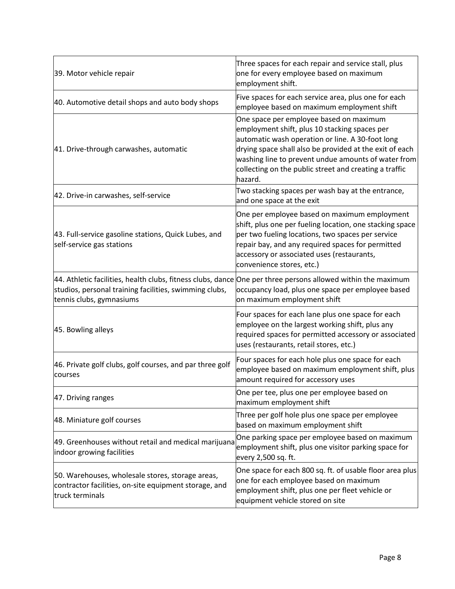| 39. Motor vehicle repair                                                                                                                                                                           | Three spaces for each repair and service stall, plus<br>one for every employee based on maximum<br>employment shift.                                                                                                                                                                                                                |
|----------------------------------------------------------------------------------------------------------------------------------------------------------------------------------------------------|-------------------------------------------------------------------------------------------------------------------------------------------------------------------------------------------------------------------------------------------------------------------------------------------------------------------------------------|
| 40. Automotive detail shops and auto body shops                                                                                                                                                    | Five spaces for each service area, plus one for each<br>employee based on maximum employment shift                                                                                                                                                                                                                                  |
| 41. Drive-through carwashes, automatic                                                                                                                                                             | One space per employee based on maximum<br>employment shift, plus 10 stacking spaces per<br>automatic wash operation or line. A 30-foot long<br>drying space shall also be provided at the exit of each<br>washing line to prevent undue amounts of water from<br>collecting on the public street and creating a traffic<br>hazard. |
| 42. Drive-in carwashes, self-service                                                                                                                                                               | Two stacking spaces per wash bay at the entrance,<br>and one space at the exit                                                                                                                                                                                                                                                      |
| 43. Full-service gasoline stations, Quick Lubes, and<br>self-service gas stations                                                                                                                  | One per employee based on maximum employment<br>shift, plus one per fueling location, one stacking space<br>per two fueling locations, two spaces per service<br>repair bay, and any required spaces for permitted<br>accessory or associated uses (restaurants,<br>convenience stores, etc.)                                       |
| 44. Athletic facilities, health clubs, fitness clubs, dance One per three persons allowed within the maximum<br>studios, personal training facilities, swimming clubs,<br>tennis clubs, gymnasiums | occupancy load, plus one space per employee based<br>on maximum employment shift                                                                                                                                                                                                                                                    |
| 45. Bowling alleys                                                                                                                                                                                 | Four spaces for each lane plus one space for each<br>employee on the largest working shift, plus any<br>required spaces for permitted accessory or associated<br>uses (restaurants, retail stores, etc.)                                                                                                                            |
| 46. Private golf clubs, golf courses, and par three golf<br>courses                                                                                                                                | Four spaces for each hole plus one space for each<br>employee based on maximum employment shift, plus<br>amount required for accessory uses                                                                                                                                                                                         |
| 47. Driving ranges                                                                                                                                                                                 | One per tee, plus one per employee based on<br>maximum employment shift                                                                                                                                                                                                                                                             |
| 48. Miniature golf courses                                                                                                                                                                         | Three per golf hole plus one space per employee<br>based on maximum employment shift                                                                                                                                                                                                                                                |
| 49. Greenhouses without retail and medical marijuana<br>indoor growing facilities                                                                                                                  | One parking space per employee based on maximum<br>employment shift, plus one visitor parking space for<br>every 2,500 sq. ft.                                                                                                                                                                                                      |
| 50. Warehouses, wholesale stores, storage areas,<br>contractor facilities, on-site equipment storage, and<br>truck terminals                                                                       | One space for each 800 sq. ft. of usable floor area plus<br>one for each employee based on maximum<br>employment shift, plus one per fleet vehicle or<br>equipment vehicle stored on site                                                                                                                                           |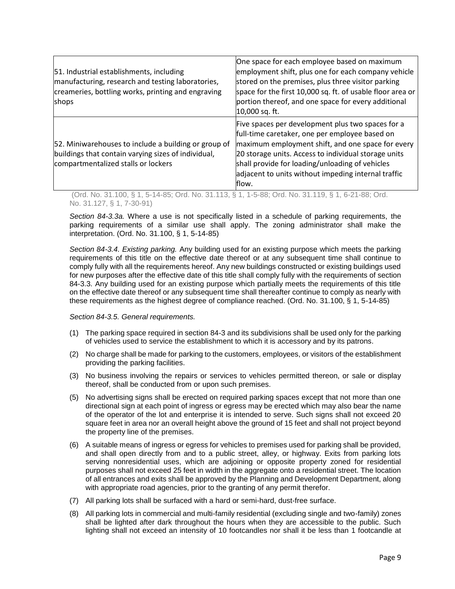| 51. Industrial establishments, including<br>manufacturing, research and testing laboratories,<br>creameries, bottling works, printing and engraving<br>shops | One space for each employee based on maximum<br>employment shift, plus one for each company vehicle<br>stored on the premises, plus three visitor parking<br>space for the first 10,000 sq. ft. of usable floor area or<br>portion thereof, and one space for every additional<br>10,000 sq. ft.                                    |
|--------------------------------------------------------------------------------------------------------------------------------------------------------------|-------------------------------------------------------------------------------------------------------------------------------------------------------------------------------------------------------------------------------------------------------------------------------------------------------------------------------------|
| 52. Miniwarehouses to include a building or group of<br>buildings that contain varying sizes of individual,<br>compartmentalized stalls or lockers           | Five spaces per development plus two spaces for a<br>full-time caretaker, one per employee based on<br>maximum employment shift, and one space for every<br>20 storage units. Access to individual storage units<br>shall provide for loading/unloading of vehicles<br>adjacent to units without impeding internal traffic<br>flow. |

(Ord. No. 31.100, § 1, 5-14-85; Ord. No. 31.113, § 1, 1-5-88; Ord. No. 31.119, § 1, 6-21-88; Ord. No. 31.127, § 1, 7-30-91)

*Section 84-3.3a.* Where a use is not specifically listed in a schedule of parking requirements, the parking requirements of a similar use shall apply. The zoning administrator shall make the interpretation. (Ord. No. 31.100, § 1, 5-14-85)

*Section 84-3.4. Existing parking.* Any building used for an existing purpose which meets the parking requirements of this title on the effective date thereof or at any subsequent time shall continue to comply fully with all the requirements hereof. Any new buildings constructed or existing buildings used for new purposes after the effective date of this title shall comply fully with the requirements of section 84-3.3. Any building used for an existing purpose which partially meets the requirements of this title on the effective date thereof or any subsequent time shall thereafter continue to comply as nearly with these requirements as the highest degree of compliance reached. (Ord. No. 31.100, § 1, 5-14-85)

## *Section 84-3.5. General requirements.*

- (1) The parking space required in section 84-3 and its subdivisions shall be used only for the parking of vehicles used to service the establishment to which it is accessory and by its patrons.
- (2) No charge shall be made for parking to the customers, employees, or visitors of the establishment providing the parking facilities.
- (3) No business involving the repairs or services to vehicles permitted thereon, or sale or display thereof, shall be conducted from or upon such premises.
- (5) No advertising signs shall be erected on required parking spaces except that not more than one directional sign at each point of ingress or egress may be erected which may also bear the name of the operator of the lot and enterprise it is intended to serve. Such signs shall not exceed 20 square feet in area nor an overall height above the ground of 15 feet and shall not project beyond the property line of the premises.
- (6) A suitable means of ingress or egress for vehicles to premises used for parking shall be provided, and shall open directly from and to a public street, alley, or highway. Exits from parking lots serving nonresidential uses, which are adjoining or opposite property zoned for residential purposes shall not exceed 25 feet in width in the aggregate onto a residential street. The location of all entrances and exits shall be approved by the Planning and Development Department, along with appropriate road agencies, prior to the granting of any permit therefor.
- (7) All parking lots shall be surfaced with a hard or semi-hard, dust-free surface.
- (8) All parking lots in commercial and multi-family residential (excluding single and two-family) zones shall be lighted after dark throughout the hours when they are accessible to the public. Such lighting shall not exceed an intensity of 10 footcandles nor shall it be less than 1 footcandle at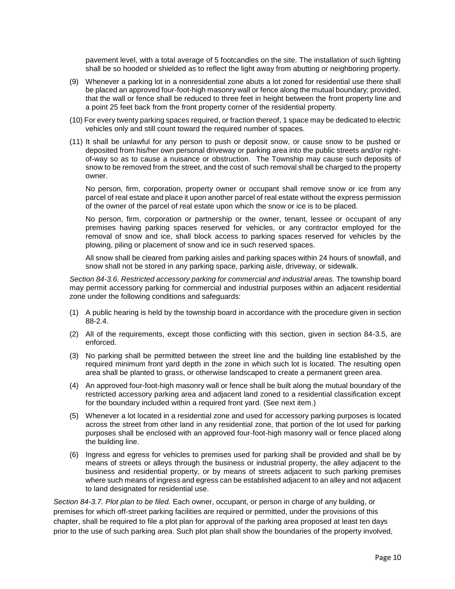pavement level, with a total average of 5 footcandles on the site. The installation of such lighting shall be so hooded or shielded as to reflect the light away from abutting or neighboring property.

- (9) Whenever a parking lot in a nonresidential zone abuts a lot zoned for residential use there shall be placed an approved four-foot-high masonry wall or fence along the mutual boundary; provided, that the wall or fence shall be reduced to three feet in height between the front property line and a point 25 feet back from the front property corner of the residential property.
- (10) For every twenty parking spaces required, or fraction thereof, 1 space may be dedicated to electric vehicles only and still count toward the required number of spaces.
- (11) It shall be unlawful for any person to push or deposit snow, or cause snow to be pushed or deposited from his/her own personal driveway or parking area into the public streets and/or rightof-way so as to cause a nuisance or obstruction. The Township may cause such deposits of snow to be removed from the street, and the cost of such removal shall be charged to the property owner.

No person, firm, corporation, property owner or occupant shall remove snow or ice from any parcel of real estate and place it upon another parcel of real estate without the express permission of the owner of the parcel of real estate upon which the snow or ice is to be placed.

No person, firm, corporation or partnership or the owner, tenant, lessee or occupant of any premises having parking spaces reserved for vehicles, or any contractor employed for the removal of snow and ice, shall block access to parking spaces reserved for vehicles by the plowing, piling or placement of snow and ice in such reserved spaces.

All snow shall be cleared from parking aisles and parking spaces within 24 hours of snowfall, and snow shall not be stored in any parking space, parking aisle, driveway, or sidewalk.

*Section 84-3.6. Restricted accessory parking for commercial and industrial areas.* The township board may permit accessory parking for commercial and industrial purposes within an adjacent residential zone under the following conditions and safeguards:

- (1) A public hearing is held by the township board in accordance with the procedure given in section 88-2.4.
- (2) All of the requirements, except those conflicting with this section, given in section 84-3.5, are enforced.
- (3) No parking shall be permitted between the street line and the building line established by the required minimum front yard depth in the zone in which such lot is located. The resulting open area shall be planted to grass, or otherwise landscaped to create a permanent green area.
- (4) An approved four-foot-high masonry wall or fence shall be built along the mutual boundary of the restricted accessory parking area and adjacent land zoned to a residential classification except for the boundary included within a required front yard. (See next item.)
- (5) Whenever a lot located in a residential zone and used for accessory parking purposes is located across the street from other land in any residential zone, that portion of the lot used for parking purposes shall be enclosed with an approved four-foot-high masonry wall or fence placed along the building line.
- (6) Ingress and egress for vehicles to premises used for parking shall be provided and shall be by means of streets or alleys through the business or industrial property, the alley adjacent to the business and residential property, or by means of streets adjacent to such parking premises where such means of ingress and egress can be established adjacent to an alley and not adjacent to land designated for residential use.

*Section 84-3.7. Plot plan to be filed.* Each owner, occupant, or person in charge of any building, or premises for which off-street parking facilities are required or permitted, under the provisions of this chapter, shall be required to file a plot plan for approval of the parking area proposed at least ten days prior to the use of such parking area. Such plot plan shall show the boundaries of the property involved,